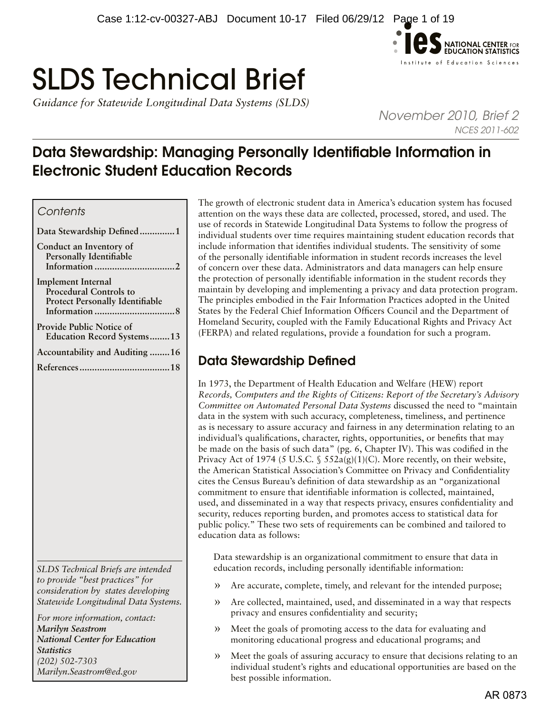

# SLDS Technical Brief

*Guidance for Statewide Longitudinal Data Systems (SLDS)* 

*November 2010, Brief 2 NCES 2011-602*

# Data Stewardship: Managing Personally Identifiable Information in Electronic Student Education Records

# *Contents*

| Data Stewardship Defined1                                                                            |
|------------------------------------------------------------------------------------------------------|
| Conduct an Inventory of<br>Personally Identifiable                                                   |
| <b>Implement Internal</b><br><b>Procedural Controls to</b><br><b>Protect Personally Identifiable</b> |
| <b>Provide Public Notice of</b><br><b>Education Record Systems13</b>                                 |
| Accountability and Auditing 16                                                                       |
|                                                                                                      |

*SLDS Technical Briefs are intended to provide "best practices" for consideration by states developing Statewide Longitudinal Data Systems.* 

*For more information, contact: Marilyn Seastrom National Center for Education Statistics (202) 502-7303 [Marilyn.Seastrom@ed.gov](mailto:Marilyn.Seastrom%40ed.gov?subject=)*

The growth of electronic student data in America's education system has focused attention on the ways these data are collected, processed, stored, and used. The use of records in Statewide Longitudinal Data Systems to follow the progress of individual students over time requires maintaining student education records that include information that identifies individual students. The sensitivity of some of the personally identifiable information in student records increases the level of concern over these data. Administrators and data managers can help ensure the protection of personally identifiable information in the student records they maintain by developing and implementing a privacy and data protection program. The principles embodied in the Fair Information Practices adopted in the United States by the Federal Chief Information Officers Council and the Department of Homeland Security, coupled with the Family Educational Rights and Privacy Act (FERPA) and related regulations, provide a foundation for such a program.

# Data Stewardship Defined

In 1973, the Department of Health Education and Welfare (HEW) report *Records, Computers and the Rights of Citizens: Report of the Secretary's Advisory Committee on Automated Personal Data Systems* discussed the need to "maintain data in the system with such accuracy, completeness, timeliness, and pertinence as is necessary to assure accuracy and fairness in any determination relating to an individual's qualifications, character, rights, opportunities, or benefits that may be made on the basis of such data" (pg. 6, Chapter IV). This was codified in the Privacy Act of 1974 (5 U.S.C. §  $552a(g)(1)(C)$ . More recently, on their website, the American Statistical Association's Committee on Privacy and Confidentiality cites the Census Bureau's definition of data stewardship as an "organizational commitment to ensure that identifiable information is collected, maintained, used, and disseminated in a way that respects privacy, ensures confidentiality and security, reduces reporting burden, and promotes access to statistical data for public policy." These two sets of requirements can be combined and tailored to education data as follows:

Data stewardship is an organizational commitment to ensure that data in education records, including personally identifiable information:

- » Are accurate, complete, timely, and relevant for the intended purpose;
- » Are collected, maintained, used, and disseminated in a way that respects privacy and ensures confidentiality and security;
- » Meet the goals of promoting access to the data for evaluating and monitoring educational progress and educational programs; and
- » Meet the goals of assuring accuracy to ensure that decisions relating to an individual student's rights and educational opportunities are based on the best possible information.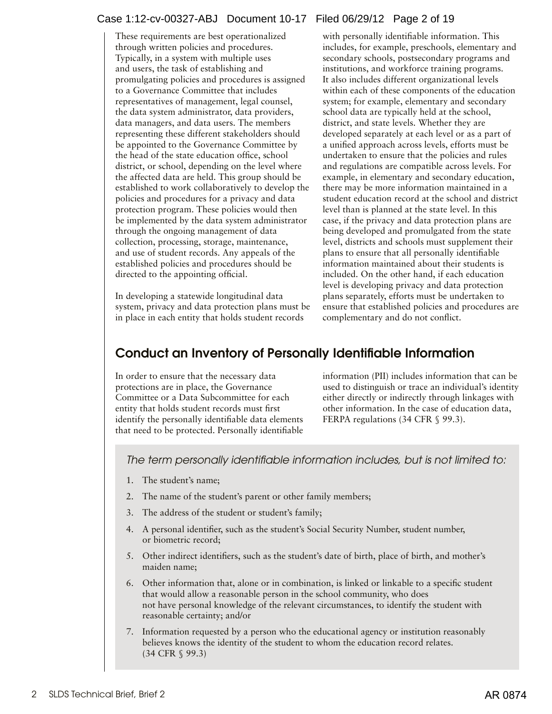# <span id="page-1-0"></span>Case 1:12-cv-00327-ABJ Document 10-17 Filed 06/29/12 Page 2 of 19

These requirements are best operationalized through written policies and procedures. Typically, in a system with multiple uses and users, the task of establishing and promulgating policies and procedures is assigned to a Governance Committee that includes representatives of management, legal counsel, the data system administrator, data providers, data managers, and data users. The members representing these different stakeholders should be appointed to the Governance Committee by the head of the state education office, school district, or school, depending on the level where the affected data are held. This group should be established to work collaboratively to develop the policies and procedures for a privacy and data protection program. These policies would then be implemented by the data system administrator through the ongoing management of data collection, processing, storage, maintenance, and use of student records. Any appeals of the established policies and procedures should be directed to the appointing official.

In developing a statewide longitudinal data system, privacy and data protection plans must be in place in each entity that holds student records

with personally identifiable information. This includes, for example, preschools, elementary and secondary schools, postsecondary programs and institutions, and workforce training programs. It also includes different organizational levels within each of these components of the education system; for example, elementary and secondary school data are typically held at the school, district, and state levels. Whether they are developed separately at each level or as a part of a unified approach across levels, efforts must be undertaken to ensure that the policies and rules and regulations are compatible across levels. For example, in elementary and secondary education, there may be more information maintained in a student education record at the school and district level than is planned at the state level. In this case, if the privacy and data protection plans are being developed and promulgated from the state level, districts and schools must supplement their plans to ensure that all personally identifiable information maintained about their students is included. On the other hand, if each education level is developing privacy and data protection plans separately, efforts must be undertaken to ensure that established policies and procedures are complementary and do not conflict.

# Conduct an Inventory of Personally Identifiable Information

In order to ensure that the necessary data protections are in place, the Governance Committee or a Data Subcommittee for each entity that holds student records must first identify the personally identifiable data elements that need to be protected. Personally identifiable

information (PII) includes information that can be used to distinguish or trace an individual's identity either directly or indirectly through linkages with other information. In the case of education data, FERPA regulations (34 CFR § 99.3).

*The term personally identifiable information includes, but is not limited to:*

- 1. The student's name;
- 2. The name of the student's parent or other family members;
- 3. The address of the student or student's family;
- 4. A personal identifier, such as the student's Social Security Number, student number, or biometric record;
- 5. Other indirect identifiers, such as the student's date of birth, place of birth, and mother's maiden name;
- 6. Other information that, alone or in combination, is linked or linkable to a specific student that would allow a reasonable person in the school community, who does not have personal knowledge of the relevant circumstances, to identify the student with reasonable certainty; and/or
- 7. Information requested by a person who the educational agency or institution reasonably believes knows the identity of the student to whom the education record relates. (34 CFR § 99.3)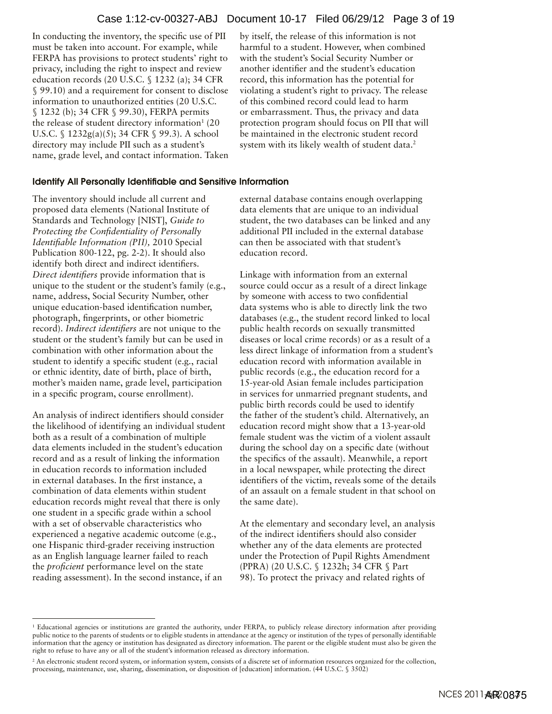In conducting the inventory, the specific use of PII must be taken into account. For example, while FERPA has provisions to protect students' right to privacy, including the right to inspect and review education records (20 U.S.C. § 1232 (a); 34 CFR § 99.10) and a requirement for consent to disclose information to unauthorized entities (20 U.S.C. § 1232 (b); 34 CFR § 99.30), FERPA permits the release of student directory information $1(20)$ U.S.C. § 1232g(a)(5); 34 CFR § 99.3). A school directory may include PII such as a student's name, grade level, and contact information. Taken by itself, the release of this information is not harmful to a student. However, when combined with the student's Social Security Number or another identifier and the student's education record, this information has the potential for violating a student's right to privacy. The release of this combined record could lead to harm or embarrassment. Thus, the privacy and data protection program should focus on PII that will be maintained in the electronic student record system with its likely wealth of student data.<sup>2</sup>

#### Identify All Personally Identifiable and Sensitive Information

The inventory should include all current and proposed data elements (National Institute of Standards and Technology [NIST], *Guide to Protecting the Confidentiality of Personally Identifiable Information (PII),* 2010 Special Publication 800-122, pg. 2-2). It should also identify both direct and indirect identifiers. *Direct identifiers* provide information that is unique to the student or the student's family (e.g., name, address, Social Security Number, other unique education-based identification number, photograph, fingerprints, or other biometric record). *Indirect identifiers* are not unique to the student or the student's family but can be used in combination with other information about the student to identify a specific student (e.g., racial or ethnic identity, date of birth, place of birth, mother's maiden name, grade level, participation in a specific program, course enrollment).

An analysis of indirect identifiers should consider the likelihood of identifying an individual student both as a result of a combination of multiple data elements included in the student's education record and as a result of linking the information in education records to information included in external databases. In the first instance, a combination of data elements within student education records might reveal that there is only one student in a specific grade within a school with a set of observable characteristics who experienced a negative academic outcome (e.g., one Hispanic third-grader receiving instruction as an English language learner failed to reach the *proficient* performance level on the state reading assessment). In the second instance, if an

external database contains enough overlapping data elements that are unique to an individual student, the two databases can be linked and any additional PII included in the external database can then be associated with that student's education record.

Linkage with information from an external source could occur as a result of a direct linkage by someone with access to two confidential data systems who is able to directly link the two databases (e.g., the student record linked to local public health records on sexually transmitted diseases or local crime records) or as a result of a less direct linkage of information from a student's education record with information available in public records (e.g., the education record for a 15-year-old Asian female includes participation in services for unmarried pregnant students, and public birth records could be used to identify the father of the student's child. Alternatively, an education record might show that a 13-year-old female student was the victim of a violent assault during the school day on a specific date (without the specifics of the assault). Meanwhile, a report in a local newspaper, while protecting the direct identifiers of the victim, reveals some of the details of an assault on a female student in that school on the same date).

At the elementary and secondary level, an analysis of the indirect identifiers should also consider whether any of the data elements are protected under the Protection of Pupil Rights Amendment (PPRA) (20 U.S.C. § 1232h; 34 CFR § Part 98). To protect the privacy and related rights of

<sup>&</sup>lt;sup>1</sup> Educational agencies or institutions are granted the authority, under FERPA, to publicly release directory information after providing public notice to the parents of students or to eligible students in attendance at the agency or institution of the types of personally identifiable information that the agency or institution has designated as directory information. The parent or the eligible student must also be given the right to refuse to have any or all of the student's information released as directory information.

<sup>&</sup>lt;sup>2</sup> An electronic student record system, or information system, consists of a discrete set of information resources organized for the collection, processing, maintenance, use, sharing, dissemination, or disposition of [education] information. (44 U.S.C. § 3502)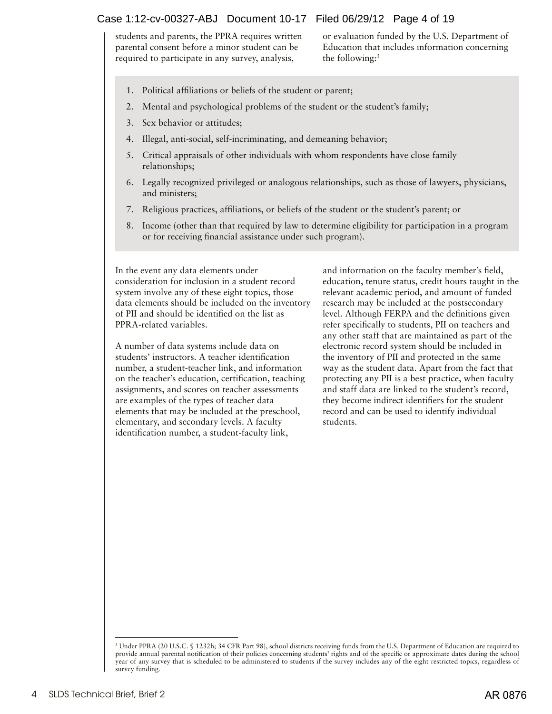# Case 1:12-cv-00327-ABJ Document 10-17 Filed 06/29/12 Page 4 of 19

students and parents, the PPRA requires written parental consent before a minor student can be required to participate in any survey, analysis,

or evaluation funded by the U.S. Department of Education that includes information concerning the following:<sup>3</sup>

- 1. Political affiliations or beliefs of the student or parent;
- 2. Mental and psychological problems of the student or the student's family;
- 3. Sex behavior or attitudes;
- 4. Illegal, anti-social, self-incriminating, and demeaning behavior;
- 5. Critical appraisals of other individuals with whom respondents have close family relationships;
- 6. Legally recognized privileged or analogous relationships, such as those of lawyers, physicians, and ministers;
- 7. Religious practices, affiliations, or beliefs of the student or the student's parent; or
- 8. Income (other than that required by law to determine eligibility for participation in a program or for receiving financial assistance under such program).

In the event any data elements under consideration for inclusion in a student record system involve any of these eight topics, those data elements should be included on the inventory of PII and should be identified on the list as PPRA-related variables.

A number of data systems include data on students' instructors. A teacher identification number, a student-teacher link, and information on the teacher's education, certification, teaching assignments, and scores on teacher assessments are examples of the types of teacher data elements that may be included at the preschool, elementary, and secondary levels. A faculty identification number, a student-faculty link,

and information on the faculty member's field, education, tenure status, credit hours taught in the relevant academic period, and amount of funded research may be included at the postsecondary level. Although FERPA and the definitions given refer specifically to students, PII on teachers and any other staff that are maintained as part of the electronic record system should be included in the inventory of PII and protected in the same way as the student data. Apart from the fact that protecting any PII is a best practice, when faculty and staff data are linked to the student's record, they become indirect identifiers for the student record and can be used to identify individual students.

<sup>3</sup> Under PPRA (20 U.S.C. § 1232h; 34 CFR Part 98), school districts receiving funds from the U.S. Department of Education are required to provide annual parental notification of their policies concerning students' rights and of the specific or approximate dates during the school year of any survey that is scheduled to be administered to students if the survey includes any of the eight restricted topics, regardless of survey funding.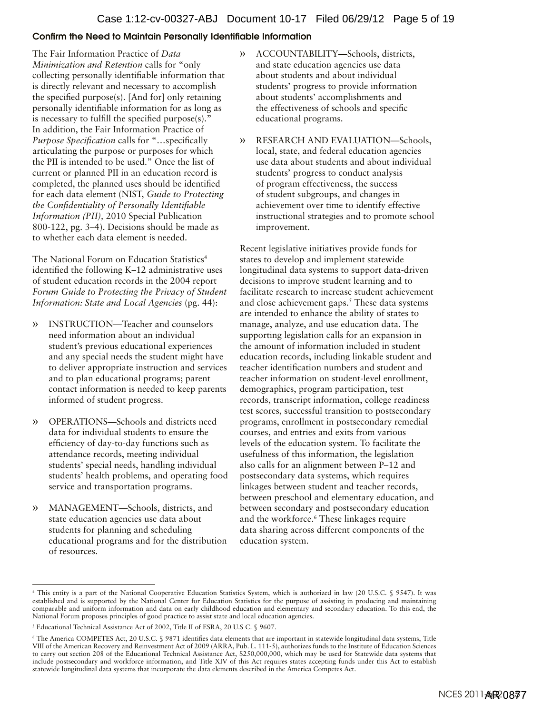## Confirm the Need to Maintain Personally Identifiable Information

The Fair Information Practice of *Data Minimization and Retention* calls for "only collecting personally identifiable information that is directly relevant and necessary to accomplish the specified purpose(s). [And for] only retaining personally identifiable information for as long as is necessary to fulfill the specified purpose(s)." In addition, the Fair Information Practice of *Purpose Specification* calls for "…specifically articulating the purpose or purposes for which the PII is intended to be used." Once the list of current or planned PII in an education record is completed, the planned uses should be identified for each data element (NIST, *Guide to Protecting the Confidentiality of Personally Identifiable Information (PII),* 2010 Special Publication 800-122, pg. 3–4). Decisions should be made as to whether each data element is needed.

The National Forum on Education Statistics<sup>4</sup> identified the following K–12 administrative uses of student education records in the 2004 report *Forum Guide to Protecting the Privacy of Student Information: State and Local Agencies* (pg. 44):

- » INSTRUCTION—Teacher and counselors need information about an individual student's previous educational experiences and any special needs the student might have to deliver appropriate instruction and services and to plan educational programs; parent contact information is needed to keep parents informed of student progress.
- » OPERATIONS—Schools and districts need data for individual students to ensure the efficiency of day-to-day functions such as attendance records, meeting individual students' special needs, handling individual students' health problems, and operating food service and transportation programs.
- » MANAGEMENT—Schools, districts, and state education agencies use data about students for planning and scheduling educational programs and for the distribution of resources.
- » ACCOUNTABILITY—Schools, districts, and state education agencies use data about students and about individual students' progress to provide information about students' accomplishments and the effectiveness of schools and specific educational programs.
- » RESEARCH AND EVALUATION—Schools, local, state, and federal education agencies use data about students and about individual students' progress to conduct analysis of program effectiveness, the success of student subgroups, and changes in achievement over time to identify effective instructional strategies and to promote school improvement.

Recent legislative initiatives provide funds for states to develop and implement statewide longitudinal data systems to support data-driven decisions to improve student learning and to facilitate research to increase student achievement and close achievement gaps. $<sup>5</sup>$  These data systems</sup> are intended to enhance the ability of states to manage, analyze, and use education data. The supporting legislation calls for an expansion in the amount of information included in student education records, including linkable student and teacher identification numbers and student and teacher information on student-level enrollment, demographics, program participation, test records, transcript information, college readiness test scores, successful transition to postsecondary programs, enrollment in postsecondary remedial courses, and entries and exits from various levels of the education system. To facilitate the usefulness of this information, the legislation also calls for an alignment between P–12 and postsecondary data systems, which requires linkages between student and teacher records, between preschool and elementary education, and between secondary and postsecondary education and the workforce.6 These linkages require data sharing across different components of the education system.

<sup>4</sup> This entity is a part of the National Cooperative Education Statistics System, which is authorized in law (20 U.S.C. § 9547). It was established and is supported by the National Center for Education Statistics for the purpose of assisting in producing and maintaining comparable and uniform information and data on early childhood education and elementary and secondary education. To this end, the National Forum proposes principles of good practice to assist state and local education agencies.

<sup>5</sup> Educational Technical Assistance Act of 2002, Title II of ESRA, 20 U.S C. § 9607.

<sup>6</sup> The America COMPETES Act, 20 U.S.C. § 9871 identifies data elements that are important in statewide longitudinal data systems, Title VIII of the American Recovery and Reinvestment Act of 2009 (ARRA, Pub. L. 111-5), authorizes funds to the Institute of Education Sciences to carry out section 208 of the Educational Technical Assistance Act, \$250,000,000, which may be used for Statewide data systems that include postsecondary and workforce information, and Title XIV of this Act requires states accepting funds under this Act to establish statewide longitudinal data systems that incorporate the data elements described in the America Competes Act.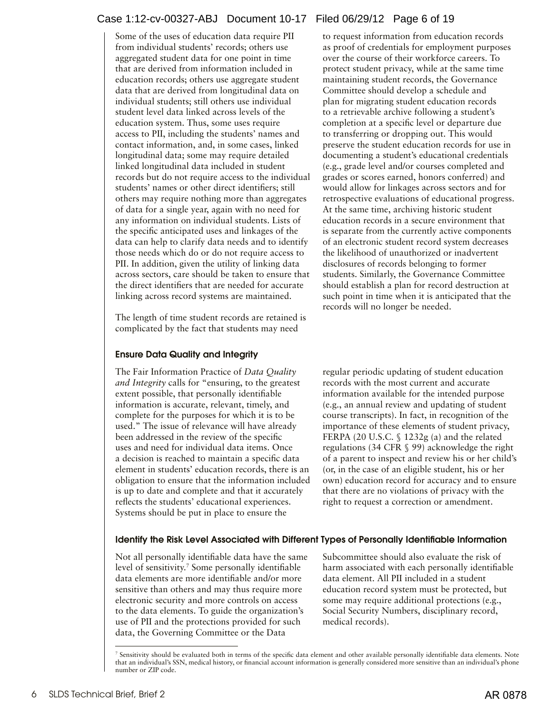# Case 1:12-cv-00327-ABJ Document 10-17 Filed 06/29/12 Page 6 of 19

Some of the uses of education data require PII from individual students' records; others use aggregated student data for one point in time that are derived from information included in education records; others use aggregate student data that are derived from longitudinal data on individual students; still others use individual student level data linked across levels of the education system. Thus, some uses require access to PII, including the students' names and contact information, and, in some cases, linked longitudinal data; some may require detailed linked longitudinal data included in student records but do not require access to the individual students' names or other direct identifiers; still others may require nothing more than aggregates of data for a single year, again with no need for any information on individual students. Lists of the specific anticipated uses and linkages of the data can help to clarify data needs and to identify those needs which do or do not require access to PII. In addition, given the utility of linking data across sectors, care should be taken to ensure that the direct identifiers that are needed for accurate linking across record systems are maintained.

The length of time student records are retained is complicated by the fact that students may need

## Ensure Data Quality and Integrity

The Fair Information Practice of *Data Quality and Integrity* calls for "ensuring, to the greatest extent possible, that personally identifiable information is accurate, relevant, timely, and complete for the purposes for which it is to be used." The issue of relevance will have already been addressed in the review of the specific uses and need for individual data items. Once a decision is reached to maintain a specific data element in students' education records, there is an obligation to ensure that the information included is up to date and complete and that it accurately reflects the students' educational experiences. Systems should be put in place to ensure the

to request information from education records as proof of credentials for employment purposes over the course of their workforce careers. To protect student privacy, while at the same time maintaining student records, the Governance Committee should develop a schedule and plan for migrating student education records to a retrievable archive following a student's completion at a specific level or departure due to transferring or dropping out. This would preserve the student education records for use in documenting a student's educational credentials (e.g., grade level and/or courses completed and grades or scores earned, honors conferred) and would allow for linkages across sectors and for retrospective evaluations of educational progress. At the same time, archiving historic student education records in a secure environment that is separate from the currently active components of an electronic student record system decreases the likelihood of unauthorized or inadvertent disclosures of records belonging to former students. Similarly, the Governance Committee should establish a plan for record destruction at such point in time when it is anticipated that the records will no longer be needed.

regular periodic updating of student education records with the most current and accurate information available for the intended purpose (e.g., an annual review and updating of student course transcripts). In fact, in recognition of the importance of these elements of student privacy, FERPA (20 U.S.C. § 1232g (a) and the related regulations (34 CFR § 99) acknowledge the right of a parent to inspect and review his or her child's (or, in the case of an eligible student, his or her own) education record for accuracy and to ensure that there are no violations of privacy with the right to request a correction or amendment.

#### Identify the Risk Level Associated with Different Types of Personally Identifiable Information

Not all personally identifiable data have the same Subcommittee should also evaluate the risk of level of sensitivity.<sup>7</sup> Some personally identifiable data elements are more identifiable and/or more data element. All PII included in a student sensitive than others and may thus require more education record system must be protected, but electronic security and more controls on access some may require additional protections (e.g., to the data elements. To guide the organization's Social Security Numbers, disciplinary record, use of PII and the protections provided for such medical records). data, the Governing Committee or the Data

harm associated with each personally identifiable

<sup>7</sup> Sensitivity should be evaluated both in terms of the specific data element and other available personally identifiable data elements. Note that an individual's SSN, medical history, or financial account information is generally considered more sensitive than an individual's phone number or ZIP code.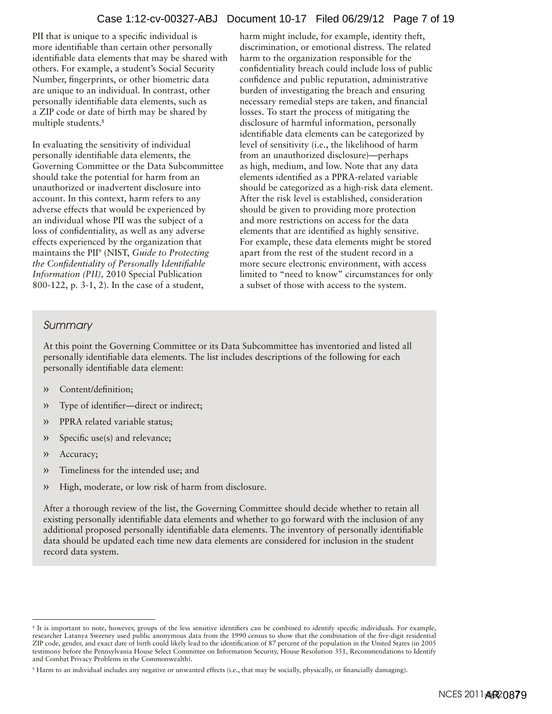## Case 1:12-cv-00327-ABJ Document 10-17 Filed 06/29/12 Page 7 of 19

PII that is unique to a specific individual is more identifiable than certain other personally identifiable data elements that may be shared with others. For example, a student's Social Security Number, fingerprints, or other biometric data are unique to an individual. In contrast, other personally identifiable data elements, such as a ZIP code or date of birth may be shared by multiple students.<sup>8</sup>

In evaluating the sensitivity of individual personally identifiable data elements, the Governing Committee or the Data Subcommittee should take the potential for harm from an unauthorized or inadvertent disclosure into account. In this context, harm refers to any adverse effects that would be experienced by an individual whose PII was the subject of a loss of confidentiality, as well as any adverse effects experienced by the organization that maintains the PII9 (NIST, *Guide to Protecting the Confidentiality of Personally Identifiable Information (PII),* 2010 Special Publication 800-122, p. 3-1, 2). In the case of a student,

harm might include, for example, identity theft, discrimination, or emotional distress. The related harm to the organization responsible for the confidentiality breach could include loss of public confidence and public reputation, administrative burden of investigating the breach and ensuring necessary remedial steps are taken, and financial losses. To start the process of mitigating the disclosure of harmful information, personally identifiable data elements can be categorized by level of sensitivity (i.e., the likelihood of harm from an unauthorized disclosure)—perhaps as high, medium, and low. Note that any data elements identified as a PPRA-related variable should be categorized as a high-risk data element. After the risk level is established, consideration should be given to providing more protection and more restrictions on access for the data elements that are identified as highly sensitive. For example, these data elements might be stored apart from the rest of the student record in a more secure electronic environment, with access limited to "need to know" circumstances for only a subset of those with access to the system.

## *Summary*

At this point the Governing Committee or its Data Subcommittee has inventoried and listed all personally identifiable data elements. The list includes descriptions of the following for each personally identifiable data element:

- » Content/definition;
- » Type of identifier—direct or indirect;
- » PPRA related variable status;
- » Specific use(s) and relevance;
- » Accuracy;
- » Timeliness for the intended use; and
- » High, moderate, or low risk of harm from disclosure.

After a thorough review of the list, the Governing Committee should decide whether to retain all existing personally identifiable data elements and whether to go forward with the inclusion of any additional proposed personally identifiable data elements. The inventory of personally identifiable data should be updated each time new data elements are considered for inclusion in the student record data system.

<sup>8</sup> It is important to note, however, groups of the less sensitive identifiers can be combined to identify specific individuals. For example, researcher Latanya Sweeney used public anonymous data from the 1990 census to show that the combination of the five-digit residential ZIP code, gender, and exact date of birth could likely lead to the identification of 87 percent of the population in the United States (in 2005 testimony before the Pennsylvania House Select Committee on Information Security, House Resolution 351, Recommendations to Identify and Combat Privacy Problems in the Commonwealth).

<sup>9</sup> Harm to an individual includes any negative or unwanted effects (i.e., that may be socially, physically, or financially damaging).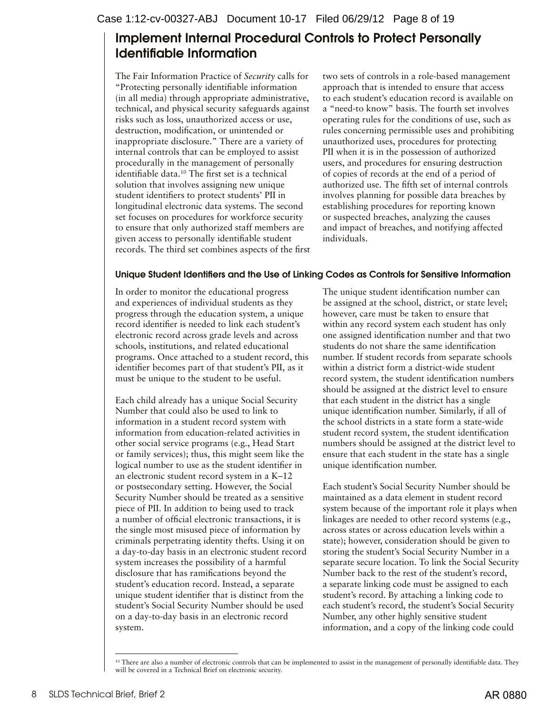# <span id="page-7-0"></span>Implement Internal Procedural Controls to Protect Personally Identifiable Information

The Fair Information Practice of *Security* calls for "Protecting personally identifiable information (in all media) through appropriate administrative, technical, and physical security safeguards against risks such as loss, unauthorized access or use, destruction, modification, or unintended or inappropriate disclosure." There are a variety of internal controls that can be employed to assist procedurally in the management of personally identifiable data.10 The first set is a technical solution that involves assigning new unique student identifiers to protect students' PII in longitudinal electronic data systems. The second set focuses on procedures for workforce security to ensure that only authorized staff members are given access to personally identifiable student records. The third set combines aspects of the first two sets of controls in a role-based management approach that is intended to ensure that access to each student's education record is available on a "need-to know" basis. The fourth set involves operating rules for the conditions of use, such as rules concerning permissible uses and prohibiting unauthorized uses, procedures for protecting PII when it is in the possession of authorized users, and procedures for ensuring destruction of copies of records at the end of a period of authorized use. The fifth set of internal controls involves planning for possible data breaches by establishing procedures for reporting known or suspected breaches, analyzing the causes and impact of breaches, and notifying affected individuals.

# Unique Student Identifiers and the Use of Linking Codes as Controls for Sensitive Information

In order to monitor the educational progress and experiences of individual students as they progress through the education system, a unique record identifier is needed to link each student's electronic record across grade levels and across schools, institutions, and related educational programs. Once attached to a student record, this identifier becomes part of that student's PII, as it must be unique to the student to be useful.

Each child already has a unique Social Security Number that could also be used to link to information in a student record system with information from education-related activities in other social service programs (e.g., Head Start or family services); thus, this might seem like the logical number to use as the student identifier in an electronic student record system in a K–12 or postsecondary setting. However, the Social Security Number should be treated as a sensitive piece of PII. In addition to being used to track a number of official electronic transactions, it is the single most misused piece of information by criminals perpetrating identity thefts. Using it on a day-to-day basis in an electronic student record system increases the possibility of a harmful disclosure that has ramifications beyond the student's education record. Instead, a separate unique student identifier that is distinct from the student's Social Security Number should be used on a day-to-day basis in an electronic record system.

The unique student identification number can be assigned at the school, district, or state level; however, care must be taken to ensure that within any record system each student has only one assigned identification number and that two students do not share the same identification number. If student records from separate schools within a district form a district-wide student record system, the student identification numbers should be assigned at the district level to ensure that each student in the district has a single unique identification number. Similarly, if all of the school districts in a state form a state-wide student record system, the student identification numbers should be assigned at the district level to ensure that each student in the state has a single unique identification number.

Each student's Social Security Number should be maintained as a data element in student record system because of the important role it plays when linkages are needed to other record systems (e.g., across states or across education levels within a state); however, consideration should be given to storing the student's Social Security Number in a separate secure location. To link the Social Security Number back to the rest of the student's record, a separate linking code must be assigned to each student's record. By attaching a linking code to each student's record, the student's Social Security Number, any other highly sensitive student information, and a copy of the linking code could

<sup>&</sup>lt;sup>10</sup> There are also a number of electronic controls that can be implemented to assist in the management of personally identifiable data. They will be covered in a Technical Brief on electronic security.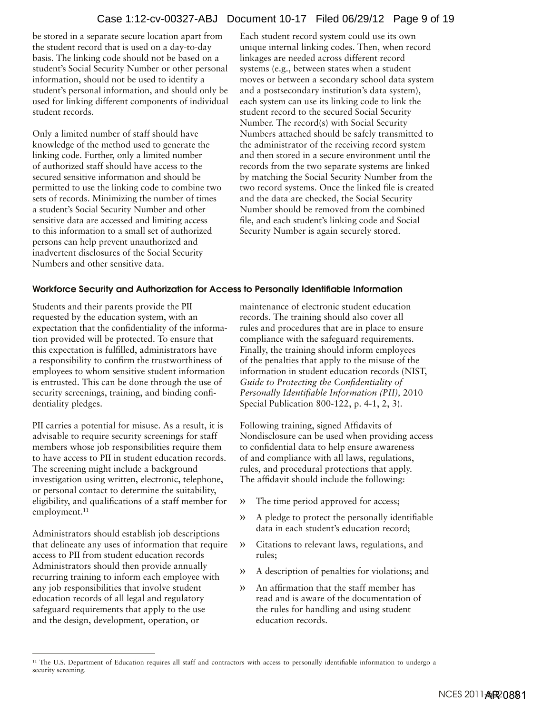# Case 1:12-cv-00327-ABJ Document 10-17 Filed 06/29/12 Page 9 of 19

be stored in a separate secure location apart from the student record that is used on a day-to-day basis. The linking code should not be based on a student's Social Security Number or other personal information, should not be used to identify a student's personal information, and should only be used for linking different components of individual student records.

Only a limited number of staff should have knowledge of the method used to generate the linking code. Further, only a limited number of authorized staff should have access to the secured sensitive information and should be permitted to use the linking code to combine two sets of records. Minimizing the number of times a student's Social Security Number and other sensitive data are accessed and limiting access to this information to a small set of authorized persons can help prevent unauthorized and inadvertent disclosures of the Social Security Numbers and other sensitive data.

Each student record system could use its own unique internal linking codes. Then, when record linkages are needed across different record systems (e.g., between states when a student moves or between a secondary school data system and a postsecondary institution's data system), each system can use its linking code to link the student record to the secured Social Security Number. The record(s) with Social Security Numbers attached should be safely transmitted to the administrator of the receiving record system and then stored in a secure environment until the records from the two separate systems are linked by matching the Social Security Number from the two record systems. Once the linked file is created and the data are checked, the Social Security Number should be removed from the combined file, and each student's linking code and Social Security Number is again securely stored.

#### Workforce Security and Authorization for Access to Personally Identifiable Information

Students and their parents provide the PII requested by the education system, with an expectation that the confidentiality of the information provided will be protected. To ensure that this expectation is fulfilled, administrators have a responsibility to confirm the trustworthiness of employees to whom sensitive student information is entrusted. This can be done through the use of security screenings, training, and binding confidentiality pledges.

PII carries a potential for misuse. As a result, it is advisable to require security screenings for staff members whose job responsibilities require them to have access to PII in student education records. The screening might include a background investigation using written, electronic, telephone, or personal contact to determine the suitability, eligibility, and qualifications of a staff member for employment.<sup>11</sup>

Administrators should establish job descriptions that delineate any uses of information that require access to PII from student education records Administrators should then provide annually recurring training to inform each employee with any job responsibilities that involve student education records of all legal and regulatory safeguard requirements that apply to the use and the design, development, operation, or

maintenance of electronic student education records. The training should also cover all rules and procedures that are in place to ensure compliance with the safeguard requirements. Finally, the training should inform employees of the penalties that apply to the misuse of the information in student education records (NIST, *Guide to Protecting the Confidentiality of Personally Identifiable Information (PII),* 2010 Special Publication 800-122, p. 4-1, 2, 3).

Following training, signed Affidavits of Nondisclosure can be used when providing access to confidential data to help ensure awareness of and compliance with all laws, regulations, rules, and procedural protections that apply. The affidavit should include the following:

- » The time period approved for access;
- » A pledge to protect the personally identifiable data in each student's education record;
- » Citations to relevant laws, regulations, and rules;
- » A description of penalties for violations; and
- » An affirmation that the staff member has read and is aware of the documentation of the rules for handling and using student education records.

<sup>&</sup>lt;sup>11</sup> The U.S. Department of Education requires all staff and contractors with access to personally identifiable information to undergo a security screening.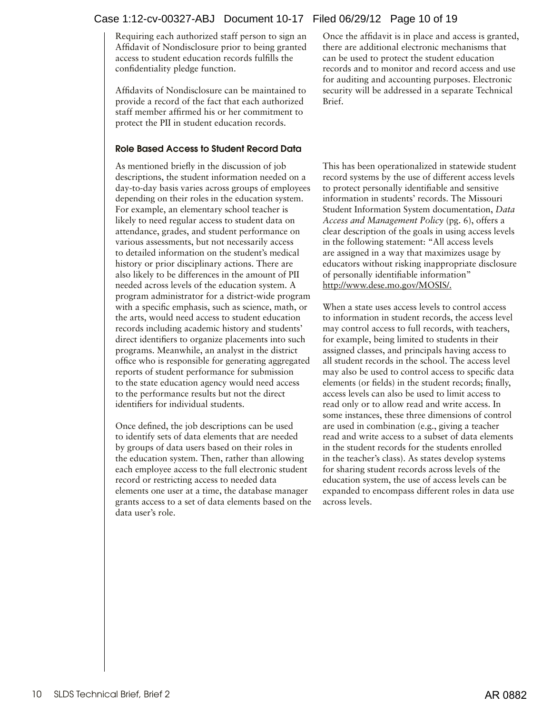# Case 1:12-cv-00327-ABJ Document 10-17 Filed 06/29/12 Page 10 of 19

Requiring each authorized staff person to sign an Affidavit of Nondisclosure prior to being granted access to student education records fulfills the confidentiality pledge function.

Affidavits of Nondisclosure can be maintained to provide a record of the fact that each authorized staff member affirmed his or her commitment to protect the PII in student education records.

## Role Based Access to Student Record Data

As mentioned briefly in the discussion of job descriptions, the student information needed on a day-to-day basis varies across groups of employees depending on their roles in the education system. For example, an elementary school teacher is likely to need regular access to student data on attendance, grades, and student performance on various assessments, but not necessarily access to detailed information on the student's medical history or prior disciplinary actions. There are also likely to be differences in the amount of PII needed across levels of the education system. A program administrator for a district-wide program with a specific emphasis, such as science, math, or the arts, would need access to student education records including academic history and students' direct identifiers to organize placements into such programs. Meanwhile, an analyst in the district office who is responsible for generating aggregated reports of student performance for submission to the state education agency would need access to the performance results but not the direct identifiers for individual students.

Once defined, the job descriptions can be used to identify sets of data elements that are needed by groups of data users based on their roles in the education system. Then, rather than allowing each employee access to the full electronic student record or restricting access to needed data elements one user at a time, the database manager grants access to a set of data elements based on the data user's role.

Once the affidavit is in place and access is granted, there are additional electronic mechanisms that can be used to protect the student education records and to monitor and record access and use for auditing and accounting purposes. Electronic security will be addressed in a separate Technical Brief.

This has been operationalized in statewide student record systems by the use of different access levels to protect personally identifiable and sensitive information in students' records. The Missouri Student Information System documentation, *Data Access and Management Policy* (pg. 6), offers a clear description of the goals in using access levels in the following statement: "All access levels are assigned in a way that maximizes usage by educators without risking inappropriate disclosure of personally identifiable information" <http://www.dese.mo.gov/MOSIS/>.

When a state uses access levels to control access to information in student records, the access level may control access to full records, with teachers, for example, being limited to students in their assigned classes, and principals having access to all student records in the school. The access level may also be used to control access to specific data elements (or fields) in the student records; finally, access levels can also be used to limit access to read only or to allow read and write access. In some instances, these three dimensions of control are used in combination (e.g., giving a teacher read and write access to a subset of data elements in the student records for the students enrolled in the teacher's class). As states develop systems for sharing student records across levels of the education system, the use of access levels can be expanded to encompass different roles in data use across levels.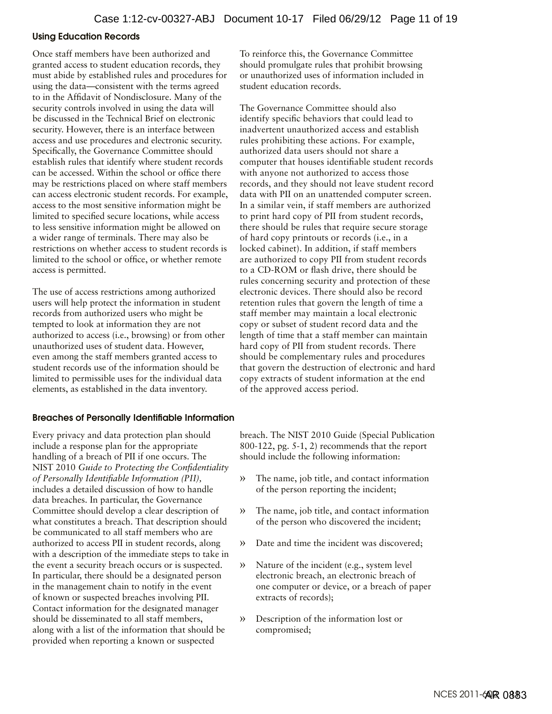#### Using Education Records

Once staff members have been authorized and granted access to student education records, they must abide by established rules and procedures for using the data—consistent with the terms agreed to in the Affidavit of Nondisclosure. Many of the security controls involved in using the data will be discussed in the Technical Brief on electronic security. However, there is an interface between access and use procedures and electronic security. Specifically, the Governance Committee should establish rules that identify where student records can be accessed. Within the school or office there may be restrictions placed on where staff members can access electronic student records. For example, access to the most sensitive information might be limited to specified secure locations, while access to less sensitive information might be allowed on a wider range of terminals. There may also be restrictions on whether access to student records is limited to the school or office, or whether remote access is permitted.

The use of access restrictions among authorized users will help protect the information in student records from authorized users who might be tempted to look at information they are not authorized to access (i.e., browsing) or from other unauthorized uses of student data. However, even among the staff members granted access to student records use of the information should be limited to permissible uses for the individual data elements, as established in the data inventory.

#### Breaches of Personally Identifiable Information

Every privacy and data protection plan should include a response plan for the appropriate handling of a breach of PII if one occurs. The NIST 2010 *Guide to Protecting the Confidentiality of Personally Identifiable Information (PII),* includes a detailed discussion of how to handle data breaches. In particular, the Governance Committee should develop a clear description of what constitutes a breach. That description should be communicated to all staff members who are authorized to access PII in student records, along with a description of the immediate steps to take in the event a security breach occurs or is suspected. In particular, there should be a designated person in the management chain to notify in the event of known or suspected breaches involving PII. Contact information for the designated manager should be disseminated to all staff members, along with a list of the information that should be provided when reporting a known or suspected

To reinforce this, the Governance Committee should promulgate rules that prohibit browsing or unauthorized uses of information included in student education records.

The Governance Committee should also identify specific behaviors that could lead to inadvertent unauthorized access and establish rules prohibiting these actions. For example, authorized data users should not share a computer that houses identifiable student records with anyone not authorized to access those records, and they should not leave student record data with PII on an unattended computer screen. In a similar vein, if staff members are authorized to print hard copy of PII from student records, there should be rules that require secure storage of hard copy printouts or records (i.e., in a locked cabinet). In addition, if staff members are authorized to copy PII from student records to a CD-ROM or flash drive, there should be rules concerning security and protection of these electronic devices. There should also be record retention rules that govern the length of time a staff member may maintain a local electronic copy or subset of student record data and the length of time that a staff member can maintain hard copy of PII from student records. There should be complementary rules and procedures that govern the destruction of electronic and hard copy extracts of student information at the end of the approved access period.

breach. The NIST 2010 Guide (Special Publication 800-122, pg. 5-1, 2) recommends that the report should include the following information:

- » The name, job title, and contact information of the person reporting the incident;
- » The name, job title, and contact information of the person who discovered the incident;
- » Date and time the incident was discovered;
- » Nature of the incident (e.g., system level electronic breach, an electronic breach of one computer or device, or a breach of paper extracts of records);
- » Description of the information lost or compromised;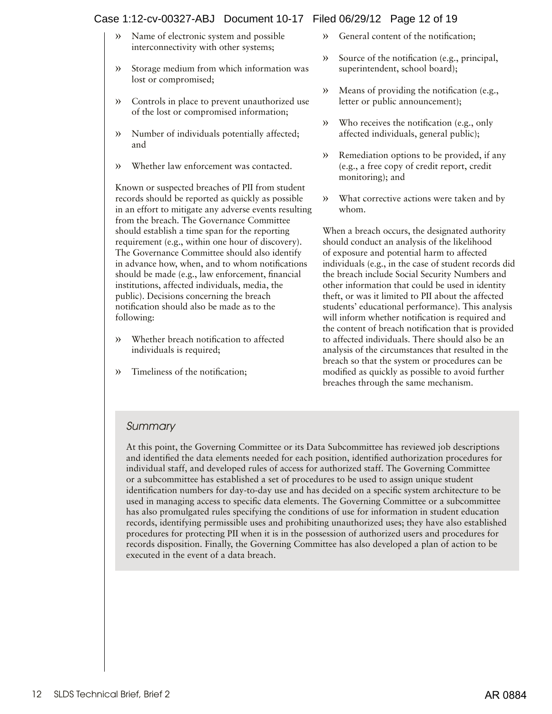# Case 1:12-cv-00327-ABJ Document 10-17 Filed 06/29/12 Page 12 of 19

- » Name of electronic system and possible interconnectivity with other systems;
- » Storage medium from which information was lost or compromised;
- » Controls in place to prevent unauthorized use of the lost or compromised information;
- » Number of individuals potentially affected; and
- » Whether law enforcement was contacted.

Known or suspected breaches of PII from student records should be reported as quickly as possible in an effort to mitigate any adverse events resulting from the breach. The Governance Committee should establish a time span for the reporting requirement (e.g., within one hour of discovery). The Governance Committee should also identify in advance how, when, and to whom notifications should be made (e.g., law enforcement, financial institutions, affected individuals, media, the public). Decisions concerning the breach notification should also be made as to the following:

- » Whether breach notification to affected individuals is required;
- » Timeliness of the notification;
- » General content of the notification;
- » Source of the notification (e.g., principal, superintendent, school board);
- » Means of providing the notification (e.g., letter or public announcement);
- » Who receives the notification (e.g., only affected individuals, general public);
- » Remediation options to be provided, if any (e.g., a free copy of credit report, credit monitoring); and
- » What corrective actions were taken and by whom.

When a breach occurs, the designated authority should conduct an analysis of the likelihood of exposure and potential harm to affected individuals (e.g., in the case of student records did the breach include Social Security Numbers and other information that could be used in identity theft, or was it limited to PII about the affected students' educational performance). This analysis will inform whether notification is required and the content of breach notification that is provided to affected individuals. There should also be an analysis of the circumstances that resulted in the breach so that the system or procedures can be modified as quickly as possible to avoid further breaches through the same mechanism.

# *Summary*

At this point, the Governing Committee or its Data Subcommittee has reviewed job descriptions and identified the data elements needed for each position, identified authorization procedures for individual staff, and developed rules of access for authorized staff. The Governing Committee or a subcommittee has established a set of procedures to be used to assign unique student identification numbers for day-to-day use and has decided on a specific system architecture to be used in managing access to specific data elements. The Governing Committee or a subcommittee has also promulgated rules specifying the conditions of use for information in student education records, identifying permissible uses and prohibiting unauthorized uses; they have also established procedures for protecting PII when it is in the possession of authorized users and procedures for records disposition. Finally, the Governing Committee has also developed a plan of action to be executed in the event of a data breach.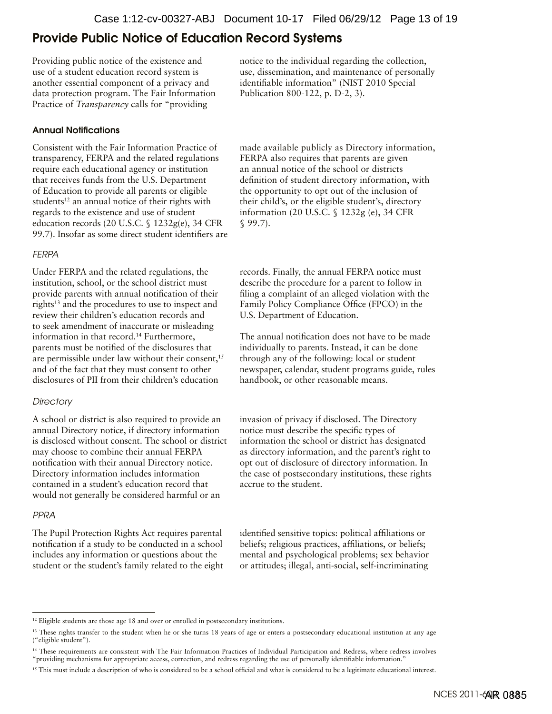# <span id="page-12-0"></span>Provide Public Notice of Education Record Systems

Providing public notice of the existence and use of a student education record system is another essential component of a privacy and data protection program. The Fair Information Practice of *Transparency* calls for "providing

#### Annual Notifications

Consistent with the Fair Information Practice of transparency, FERPA and the related regulations require each educational agency or institution that receives funds from the U.S. Department of Education to provide all parents or eligible students<sup>12</sup> an annual notice of their rights with regards to the existence and use of student education records (20 U.S.C. § 1232g(e), 34 CFR 99.7). Insofar as some direct student identifiers are

#### *FERPA*

Under FERPA and the related regulations, the institution, school, or the school district must provide parents with annual notification of their rights<sup>13</sup> and the procedures to use to inspect and review their children's education records and to seek amendment of inaccurate or misleading information in that record.14 Furthermore, parents must be notified of the disclosures that are permissible under law without their consent,<sup>15</sup> and of the fact that they must consent to other disclosures of PII from their children's education

## *Directory*

A school or district is also required to provide an annual Directory notice, if directory information is disclosed without consent. The school or district may choose to combine their annual FERPA notification with their annual Directory notice. Directory information includes information contained in a student's education record that would not generally be considered harmful or an

## *PPRA*

The Pupil Protection Rights Act requires parental notification if a study to be conducted in a school includes any information or questions about the student or the student's family related to the eight notice to the individual regarding the collection, use, dissemination, and maintenance of personally identifiable information" (NIST 2010 Special Publication 800-122, p. D-2, 3).

made available publicly as Directory information, FERPA also requires that parents are given an annual notice of the school or districts definition of student directory information, with the opportunity to opt out of the inclusion of their child's, or the eligible student's, directory information (20 U.S.C. § 1232g (e), 34 CFR § 99.7).

records. Finally, the annual FERPA notice must describe the procedure for a parent to follow in filing a complaint of an alleged violation with the Family Policy Compliance Office (FPCO) in the U.S. Department of Education.

The annual notification does not have to be made individually to parents. Instead, it can be done through any of the following: local or student newspaper, calendar, student programs guide, rules handbook, or other reasonable means.

invasion of privacy if disclosed. The Directory notice must describe the specific types of information the school or district has designated as directory information, and the parent's right to opt out of disclosure of directory information. In the case of postsecondary institutions, these rights accrue to the student.

identified sensitive topics: political affiliations or beliefs; religious practices, affiliations, or beliefs; mental and psychological problems; sex behavior or attitudes; illegal, anti-social, self-incriminating

<sup>&</sup>lt;sup>12</sup> Eligible students are those age 18 and over or enrolled in postsecondary institutions.

<sup>&</sup>lt;sup>13</sup> These rights transfer to the student when he or she turns 18 years of age or enters a postsecondary educational institution at any age ("eligible student").

<sup>14</sup> These requirements are consistent with The Fair Information Practices of Individual Participation and Redress, where redress involves "providing mechanisms for appropriate access, correction, and redress regarding the use of personally identifiable information."

<sup>&</sup>lt;sup>15</sup> This must include a description of who is considered to be a school official and what is considered to be a legitimate educational interest.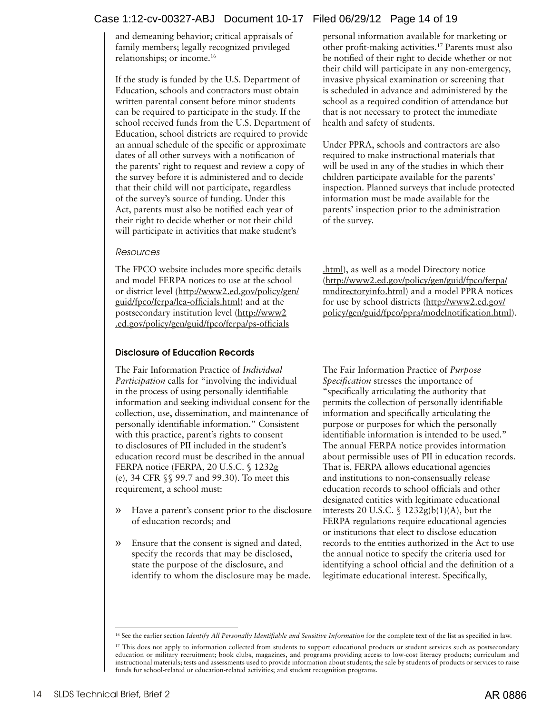# Case 1:12-cv-00327-ABJ Document 10-17 Filed 06/29/12 Page 14 of 19

and demeaning behavior; critical appraisals of family members; legally recognized privileged relationships; or income.16

If the study is funded by the U.S. Department of Education, schools and contractors must obtain written parental consent before minor students can be required to participate in the study. If the school received funds from the U.S. Department of Education, school districts are required to provide an annual schedule of the specific or approximate dates of all other surveys with a notification of the parents' right to request and review a copy of the survey before it is administered and to decide that their child will not participate, regardless of the survey's source of funding. Under this Act, parents must also be notified each year of their right to decide whether or not their child will participate in activities that make student's

#### *Resources*

The FPCO website includes more specific details and model FERPA notices to use at the school or district level ([http://www2.ed.gov/policy/gen/](http://www2.ed.gov/policy/gen/guid/fpco/ferpa/lea-officials.html) [guid/fpco/ferpa/lea-officials.html](http://www2.ed.gov/policy/gen/guid/fpco/ferpa/lea-officials.html)) and at the postsecondary institution level ([http://www2](http://www2 .ed.gov/policy/gen/guid/fpco/ferpa/ps-officials .html) [.ed.gov/policy/gen/guid/fpco/ferpa/ps-officials](http://www2 .ed.gov/policy/gen/guid/fpco/ferpa/ps-officials .html)

# Disclosure of Education Records

The Fair Information Practice of *Individual Participation* calls for "involving the individual in the process of using personally identifiable information and seeking individual consent for the collection, use, dissemination, and maintenance of personally identifiable information." Consistent with this practice, parent's rights to consent to disclosures of PII included in the student's education record must be described in the annual FERPA notice (FERPA, 20 U.S.C. § 1232g (e), 34 CFR §§ 99.7 and 99.30). To meet this requirement, a school must:

- » Have a parent's consent prior to the disclosure of education records; and
- » Ensure that the consent is signed and dated, specify the records that may be disclosed, state the purpose of the disclosure, and identify to whom the disclosure may be made.

personal information available for marketing or other profit-making activities.17 Parents must also be notified of their right to decide whether or not their child will participate in any non-emergency, invasive physical examination or screening that is scheduled in advance and administered by the school as a required condition of attendance but that is not necessary to protect the immediate health and safety of students.

Under PPRA, schools and contractors are also required to make instructional materials that will be used in any of the studies in which their children participate available for the parents' inspection. Planned surveys that include protected information must be made available for the parents' inspection prior to the administration of the survey.

[.html\)](http://www2 .ed.gov/policy/gen/guid/fpco/ferpa/ps-officials .html), as well as a model Directory notice [\(http://www2.ed.gov/policy/gen/guid/fpco/ferpa/](http://www2.ed.gov/policy/gen/guid/fpco/ferpa/mndirectoryinfo.html) [mndirectoryinfo.html\)](http://www2.ed.gov/policy/gen/guid/fpco/ferpa/mndirectoryinfo.html) and a model PPRA notices for use by school districts ([http://www2.ed.gov/](http://www2.ed.gov/policy/gen/guid/fpco/ppra/modelnotification.html) [policy/gen/guid/fpco/ppra/modelnotification.html](http://www2.ed.gov/policy/gen/guid/fpco/ppra/modelnotification.html)).

The Fair Information Practice of *Purpose Specification* stresses the importance of "specifically articulating the authority that permits the collection of personally identifiable information and specifically articulating the purpose or purposes for which the personally identifiable information is intended to be used." The annual FERPA notice provides information about permissible uses of PII in education records. That is, FERPA allows educational agencies and institutions to non-consensually release education records to school officials and other designated entities with legitimate educational interests 20 U.S.C.  $\int$  1232g(b(1)(A), but the FERPA regulations require educational agencies or institutions that elect to disclose education records to the entities authorized in the Act to use the annual notice to specify the criteria used for identifying a school official and the definition of a legitimate educational interest. Specifically,

<sup>&</sup>lt;sup>16</sup> See the earlier section *Identify All Personally Identifiable and Sensitive Information* for the complete text of the list as specified in law.

<sup>&</sup>lt;sup>17</sup> This does not apply to information collected from students to support educational products or student services such as postsecondary education or military recruitment; book clubs, magazines, and programs providing access to low-cost literacy products; curriculum and instructional materials; tests and assessments used to provide information about students; the sale by students of products or services to raise funds for school-related or education-related activities; and student recognition programs.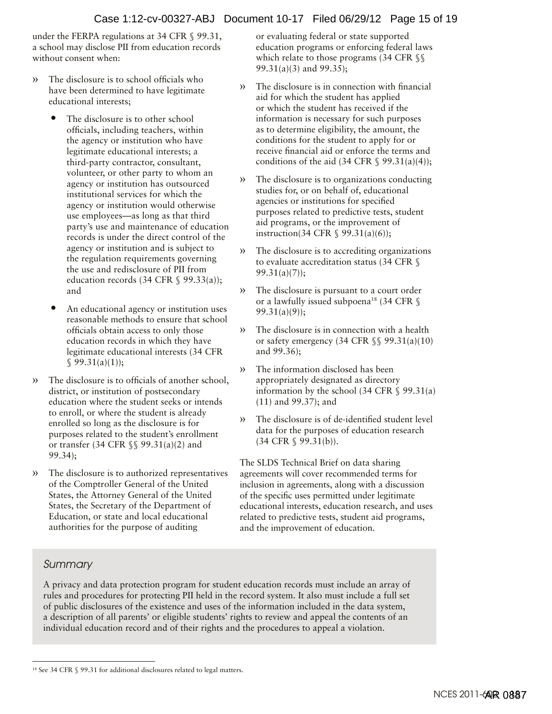under the FERPA regulations at 34 CFR § 99.31, a school may disclose PII from education records without consent when:

- » The disclosure is to school officials who have been determined to have legitimate educational interests;
	- The disclosure is to other school officials, including teachers, within the agency or institution who have legitimate educational interests; a third-party contractor, consultant, volunteer, or other party to whom an agency or institution has outsourced institutional services for which the agency or institution would otherwise use employees—as long as that third party's use and maintenance of education records is under the direct control of the agency or institution and is subject to the regulation requirements governing the use and redisclosure of PII from education records (34 CFR  $\$$  99.33(a)); and
	- An educational agency or institution uses reasonable methods to ensure that school officials obtain access to only those education records in which they have legitimate educational interests (34 CFR  $$99.31(a)(1));$
- » The disclosure is to officials of another school, district, or institution of postsecondary education where the student seeks or intends to enroll, or where the student is already enrolled so long as the disclosure is for purposes related to the student's enrollment or transfer (34 CFR §§ 99.31(a)(2) and 99.34);
- The disclosure is to authorized representatives of the Comptroller General of the United States, the Attorney General of the United States, the Secretary of the Department of Education, or state and local educational authorities for the purpose of auditing

or evaluating federal or state supported education programs or enforcing federal laws which relate to those programs (34 CFR §§ 99.31(a)(3) and 99.35);

- » The disclosure is in connection with financial aid for which the student has applied or which the student has received if the information is necessary for such purposes as to determine eligibility, the amount, the conditions for the student to apply for or receive financial aid or enforce the terms and conditions of the aid  $(34 \text{ CFR} \text{ § } 99.31(a)(4));$
- » The disclosure is to organizations conducting studies for, or on behalf of, educational agencies or institutions for specified purposes related to predictive tests, student aid programs, or the improvement of instruction(34 CFR § 99.31(a)(6));
- » The disclosure is to accrediting organizations to evaluate accreditation status (34 CFR § 99.31(a)(7));
- » The disclosure is pursuant to a court order or a lawfully issued subpoena<sup>18</sup> (34 CFR  $\$ 99.31(a)(9));
- » The disclosure is in connection with a health or safety emergency (34 CFR  $\S$ § 99.31(a)(10) and 99.36);
- » The information disclosed has been appropriately designated as directory information by the school (34 CFR  $\S$  99.31(a) (11) and 99.37); and
- » The disclosure is of de-identified student level data for the purposes of education research (34 CFR § 99.31(b)).

The SLDS Technical Brief on data sharing agreements will cover recommended terms for inclusion in agreements, along with a discussion of the specific uses permitted under legitimate educational interests, education research, and uses related to predictive tests, student aid programs, and the improvement of education.

# *Summary*

A privacy and data protection program for student education records must include an array of rules and procedures for protecting PII held in the record system. It also must include a full set of public disclosures of the existence and uses of the information included in the data system, a description of all parents' or eligible students' rights to review and appeal the contents of an individual education record and of their rights and the procedures to appeal a violation.

<sup>18</sup> See 34 CFR § 99.31 for additional disclosures related to legal matters.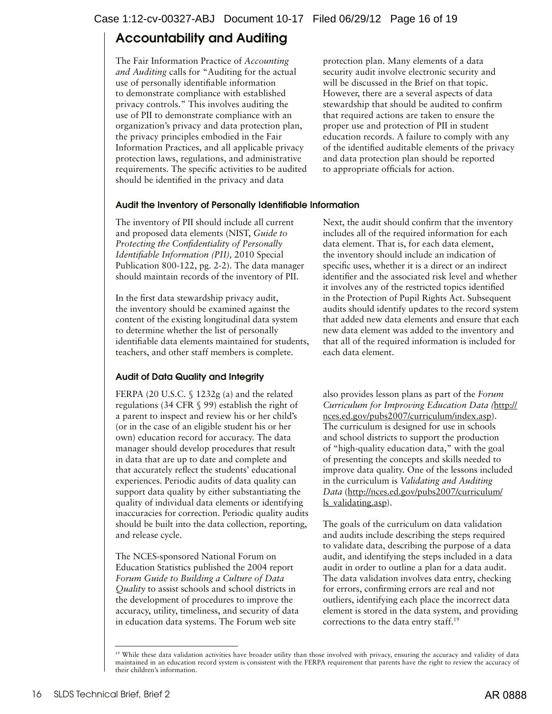# <span id="page-15-0"></span>Accountability and Auditing

The Fair Information Practice of *Accounting and Auditing* calls for "Auditing for the actual use of personally identifiable information to demonstrate compliance with established privacy controls." This involves auditing the use of PII to demonstrate compliance with an organization's privacy and data protection plan, the privacy principles embodied in the Fair Information Practices, and all applicable privacy protection laws, regulations, and administrative requirements. The specific activities to be audited should be identified in the privacy and data

protection plan. Many elements of a data security audit involve electronic security and will be discussed in the Brief on that topic. However, there are a several aspects of data stewardship that should be audited to confirm that required actions are taken to ensure the proper use and protection of PII in student education records. A failure to comply with any of the identified auditable elements of the privacy and data protection plan should be reported to appropriate officials for action.

# Audit the Inventory of Personally Identifiable Information

The inventory of PII should include all current and proposed data elements (NIST, *Guide to Protecting the Confidentiality of Personally Identifiable Information (PII),* 2010 Special Publication 800-122, pg. 2-2). The data manager should maintain records of the inventory of PII.

In the first data stewardship privacy audit, the inventory should be examined against the content of the existing longitudinal data system to determine whether the list of personally identifiable data elements maintained for students, teachers, and other staff members is complete.

# Audit of Data Quality and Integrity

FERPA (20 U.S.C. § 1232g (a) and the related regulations (34 CFR § 99) establish the right of a parent to inspect and review his or her child's (or in the case of an eligible student his or her own) education record for accuracy. The data manager should develop procedures that result in data that are up to date and complete and that accurately reflect the students' educational experiences. Periodic audits of data quality can support data quality by either substantiating the quality of individual data elements or identifying inaccuracies for correction. Periodic quality audits should be built into the data collection, reporting, and release cycle.

The NCES-sponsored National Forum on Education Statistics published the 2004 report *Forum Guide to Building a Culture of Data Quality* to assist schools and school districts in the development of procedures to improve the accuracy, utility, timeliness, and security of data in education data systems. The Forum web site

Next, the audit should confirm that the inventory includes all of the required information for each data element. That is, for each data element, the inventory should include an indication of specific uses, whether it is a direct or an indirect identifier and the associated risk level and whether it involves any of the restricted topics identified in the Protection of Pupil Rights Act. Subsequent audits should identify updates to the record system that added new data elements and ensure that each new data element was added to the inventory and that all of the required information is included for each data element.

also provides lesson plans as part of the *Forum Curriculum for Improving Education Data (*[http://](http://nces.ed.gov/pubs2007/curriculum/index.asp) [nces.ed.gov/pubs2007/curriculum/index.asp](http://nces.ed.gov/pubs2007/curriculum/index.asp)). The curriculum is designed for use in schools and school districts to support the production of "high-quality education data," with the goal of presenting the concepts and skills needed to improve data quality. One of the lessons included in the curriculum is *Validating and Auditing Data* ([http://nces.ed.gov/pubs2007/curriculum/](http://nces.ed.gov/pubs2007/curriculum/ls_validating.asp) [ls\\_validating.asp](http://nces.ed.gov/pubs2007/curriculum/ls_validating.asp)).

The goals of the curriculum on data validation and audits include describing the steps required to validate data, describing the purpose of a data audit, and identifying the steps included in a data audit in order to outline a plan for a data audit. The data validation involves data entry, checking for errors, confirming errors are real and not outliers, identifying each place the incorrect data element is stored in the data system, and providing corrections to the data entry staff.19

<sup>&</sup>lt;sup>19</sup> While these data validation activities have broader utility than those involved with privacy, ensuring the accuracy and validity of data maintained in an education record system is consistent with the FERPA requirement that parents have the right to review the accuracy of their children's information.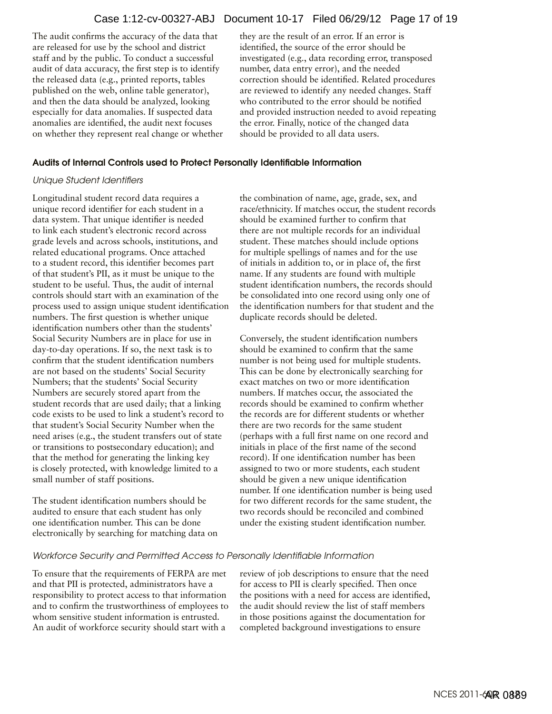## Case 1:12-cv-00327-ABJ Document 10-17 Filed 06/29/12 Page 17 of 19

The audit confirms the accuracy of the data that they are the result of an error. If an error is are released for use by the school and district identified, the source of the error should be audit of data accuracy, the first step is to identify number, data entry error), and the needed and then the data should be analyzed, looking who contributed to the error should be notified anomalies are identified, the audit next focuses the error. Finally, notice of the changed data on whether they represent real change or whether should be provided to all data users.

staff and by the public. To conduct a successful investigated (e.g., data recording error, transposed the released data (e.g., printed reports, tables correction should be identified. Related procedures published on the web, online table generator), are reviewed to identify any needed changes. Staff especially for data anomalies. If suspected data and provided instruction needed to avoid repeating

#### Audits of Internal Controls used to Protect Personally Identifiable Information

#### *Unique Student Identifiers*

Longitudinal student record data requires a unique record identifier for each student in a data system. That unique identifier is needed to link each student's electronic record across grade levels and across schools, institutions, and related educational programs. Once attached to a student record, this identifier becomes part of that student's PII, as it must be unique to the student to be useful. Thus, the audit of internal controls should start with an examination of the process used to assign unique student identification numbers. The first question is whether unique identification numbers other than the students' Social Security Numbers are in place for use in day-to-day operations. If so, the next task is to confirm that the student identification numbers are not based on the students' Social Security Numbers; that the students' Social Security Numbers are securely stored apart from the student records that are used daily; that a linking code exists to be used to link a student's record to that student's Social Security Number when the need arises (e.g., the student transfers out of state or transitions to postsecondary education); and that the method for generating the linking key is closely protected, with knowledge limited to a small number of staff positions.

The student identification numbers should be audited to ensure that each student has only one identification number. This can be done electronically by searching for matching data on the combination of name, age, grade, sex, and race/ethnicity. If matches occur, the student records should be examined further to confirm that there are not multiple records for an individual student. These matches should include options for multiple spellings of names and for the use of initials in addition to, or in place of, the first name. If any students are found with multiple student identification numbers, the records should be consolidated into one record using only one of the identification numbers for that student and the duplicate records should be deleted.

Conversely, the student identification numbers should be examined to confirm that the same number is not being used for multiple students. This can be done by electronically searching for exact matches on two or more identification numbers. If matches occur, the associated the records should be examined to confirm whether the records are for different students or whether there are two records for the same student (perhaps with a full first name on one record and initials in place of the first name of the second record). If one identification number has been assigned to two or more students, each student should be given a new unique identification number. If one identification number is being used for two different records for the same student, the two records should be reconciled and combined under the existing student identification number.

#### *Workforce Security and Permitted Access to Personally Identifiable Information*

To ensure that the requirements of FERPA are met and that PII is protected, administrators have a responsibility to protect access to that information and to confirm the trustworthiness of employees to whom sensitive student information is entrusted. An audit of workforce security should start with a

review of job descriptions to ensure that the need for access to PII is clearly specified. Then once the positions with a need for access are identified, the audit should review the list of staff members in those positions against the documentation for completed background investigations to ensure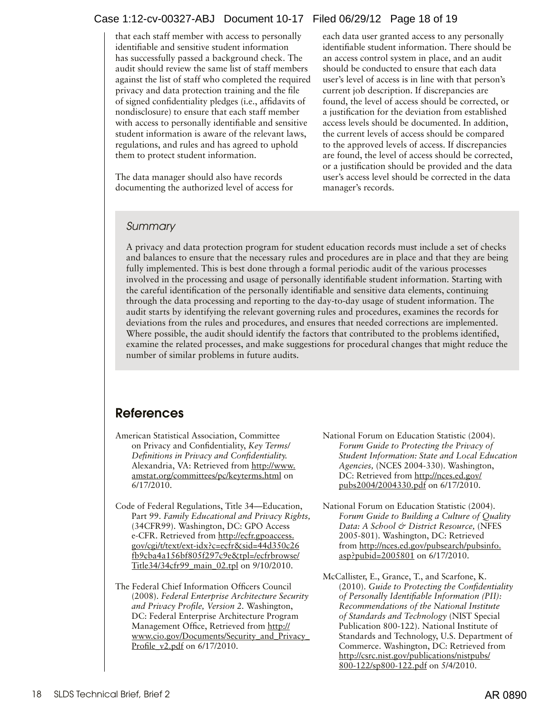# <span id="page-17-0"></span>Case 1:12-cv-00327-ABJ Document 10-17 Filed 06/29/12 Page 18 of 19

that each staff member with access to personally identifiable and sensitive student information has successfully passed a background check. The audit should review the same list of staff members against the list of staff who completed the required privacy and data protection training and the file of signed confidentiality pledges (i.e., affidavits of nondisclosure) to ensure that each staff member with access to personally identifiable and sensitive student information is aware of the relevant laws, regulations, and rules and has agreed to uphold them to protect student information.

The data manager should also have records documenting the authorized level of access for each data user granted access to any personally identifiable student information. There should be an access control system in place, and an audit should be conducted to ensure that each data user's level of access is in line with that person's current job description. If discrepancies are found, the level of access should be corrected, or a justification for the deviation from established access levels should be documented. In addition, the current levels of access should be compared to the approved levels of access. If discrepancies are found, the level of access should be corrected, or a justification should be provided and the data user's access level should be corrected in the data manager's records.

# *Summary*

A privacy and data protection program for student education records must include a set of checks and balances to ensure that the necessary rules and procedures are in place and that they are being fully implemented. This is best done through a formal periodic audit of the various processes involved in the processing and usage of personally identifiable student information. Starting with the careful identification of the personally identifiable and sensitive data elements, continuing through the data processing and reporting to the day-to-day usage of student information. The audit starts by identifying the relevant governing rules and procedures, examines the records for deviations from the rules and procedures, and ensures that needed corrections are implemented. Where possible, the audit should identify the factors that contributed to the problems identified, examine the related processes, and make suggestions for procedural changes that might reduce the number of similar problems in future audits.

# References

- American Statistical Association, Committee on Privacy and Confidentiality, *Key Terms/ Definitions in Privacy and Confidentiality.* Alexandria, VA: Retrieved from [http://www.](http://www.amstat.org/committees/pc/keyterms.html) [amstat.org/committees/pc/keyterms.html](http://www.amstat.org/committees/pc/keyterms.html) on 6/17/2010.
- Code of Federal Regulations, Title 34—Education, Part 99. *Family Educational and Privacy Rights,* (34CFR99). Washington, DC: GPO Access e-CFR. Retrieved from [http://ecfr.gpoaccess.](http://ecfr.gpoaccess.gov/cgi/t/text/ext-idx?c=ecfr&sid=44d350c26fb9cba4a156bf805f297c9e&tpl=/ecfrbrowse/Title34/34cfr99_main_02.tpl) [gov/cgi/t/text/ext-idx?c=ecfr&sid=44d350c26](http://ecfr.gpoaccess.gov/cgi/t/text/ext-idx?c=ecfr&sid=44d350c26fb9cba4a156bf805f297c9e&tpl=/ecfrbrowse/Title34/34cfr99_main_02.tpl) [fb9cba4a156bf805f297c9e&tpl=/ecfrbrowse/](http://ecfr.gpoaccess.gov/cgi/t/text/ext-idx?c=ecfr&sid=44d350c26fb9cba4a156bf805f297c9e&tpl=/ecfrbrowse/Title34/34cfr99_main_02.tpl) [Title34/34cfr99\\_main\\_02.tpl](http://ecfr.gpoaccess.gov/cgi/t/text/ext-idx?c=ecfr&sid=44d350c26fb9cba4a156bf805f297c9e&tpl=/ecfrbrowse/Title34/34cfr99_main_02.tpl) on 9/10/2010.
- The Federal Chief Information Officers Council (2008). *Federal Enterprise Architecture Security and Privacy Profile, Version 2.* Washington, DC: Federal Enterprise Architecture Program Management Office, Retrieved from [http://](http://www.cio.gov/Documents/Security_and_Privacy_Profile_v2.pdf) [www.cio.gov/Documents/Security\\_and\\_Privacy\\_](http://www.cio.gov/Documents/Security_and_Privacy_Profile_v2.pdf) Profile v2.pdf on 6/17/2010.
- National Forum on Education Statistic (2004). *Forum Guide to Protecting the Privacy of Student Information: State and Local Education Agencies,* (NCES 2004-330). Washington, DC: Retrieved from [http://nces.ed.gov/](http://nces.ed.gov/pubs2004/2004330.pdf) [pubs2004/2004330.pdf](http://nces.ed.gov/pubs2004/2004330.pdf) on 6/17/2010.
- National Forum on Education Statistic (2004). *Forum Guide to Building a Culture of Quality Data: A School & District Resource,* (NFES 2005-801). Washington, DC: Retrieved from [http://nces.ed.gov/pubsearch/pubsinfo.](http://nces.ed.gov/pubsearch/pubsinfo.asp?pubid=2005801) [asp?pubid=2005801](http://nces.ed.gov/pubsearch/pubsinfo.asp?pubid=2005801) on 6/17/2010.
- McCallister, E., Grance, T., and Scarfone, K. (2010). *Guide to Protecting the Confidentiality of Personally Identifiable Information (PII): Recommendations of the National Institute of Standards and Technology* (NIST Special Publication 800-122). National Institute of Standards and Technology, U.S. Department of Commerce. Washington, DC: Retrieved from [http://csrc.nist.gov/publications/nistpubs/](http://csrc.nist.gov/publications/nistpubs/ 800-122/sp800-122.pdf) [800-122/sp800-122.pdf](http://csrc.nist.gov/publications/nistpubs/ 800-122/sp800-122.pdf) on 5/4/2010.